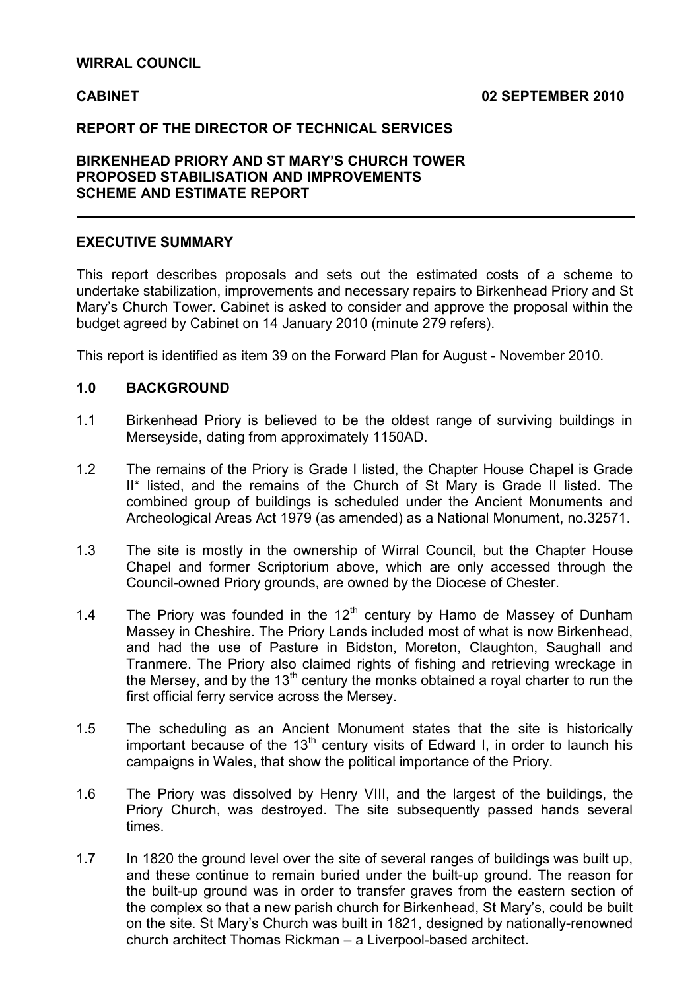## WIRRAL COUNCIL

 $\overline{a}$ 

#### CABINET 02 SEPTEMBER 2010

#### REPORT OF THE DIRECTOR OF TECHNICAL SERVICES

# BIRKENHEAD PRIORY AND ST MARY'S CHURCH TOWER PROPOSED STABILISATION AND IMPROVEMENTS SCHEME AND ESTIMATE REPORT

#### EXECUTIVE SUMMARY

This report describes proposals and sets out the estimated costs of a scheme to undertake stabilization, improvements and necessary repairs to Birkenhead Priory and St Mary's Church Tower. Cabinet is asked to consider and approve the proposal within the budget agreed by Cabinet on 14 January 2010 (minute 279 refers).

This report is identified as item 39 on the Forward Plan for August - November 2010.

#### 1.0 BACKGROUND

- 1.1 Birkenhead Priory is believed to be the oldest range of surviving buildings in Merseyside, dating from approximately 1150AD.
- 1.2 The remains of the Priory is Grade I listed, the Chapter House Chapel is Grade II\* listed, and the remains of the Church of St Mary is Grade II listed. The combined group of buildings is scheduled under the Ancient Monuments and Archeological Areas Act 1979 (as amended) as a National Monument, no.32571.
- 1.3 The site is mostly in the ownership of Wirral Council, but the Chapter House Chapel and former Scriptorium above, which are only accessed through the Council-owned Priory grounds, are owned by the Diocese of Chester.
- 1.4 The Priory was founded in the  $12<sup>th</sup>$  century by Hamo de Massey of Dunham Massey in Cheshire. The Priory Lands included most of what is now Birkenhead, and had the use of Pasture in Bidston, Moreton, Claughton, Saughall and Tranmere. The Priory also claimed rights of fishing and retrieving wreckage in the Mersey, and by the  $13<sup>th</sup>$  century the monks obtained a royal charter to run the first official ferry service across the Mersey.
- 1.5 The scheduling as an Ancient Monument states that the site is historically important because of the 13<sup>th</sup> century visits of Edward I, in order to launch his campaigns in Wales, that show the political importance of the Priory.
- 1.6 The Priory was dissolved by Henry VIII, and the largest of the buildings, the Priory Church, was destroyed. The site subsequently passed hands several times.
- 1.7 In 1820 the ground level over the site of several ranges of buildings was built up, and these continue to remain buried under the built-up ground. The reason for the built-up ground was in order to transfer graves from the eastern section of the complex so that a new parish church for Birkenhead, St Mary's, could be built on the site. St Mary's Church was built in 1821, designed by nationally-renowned church architect Thomas Rickman – a Liverpool-based architect.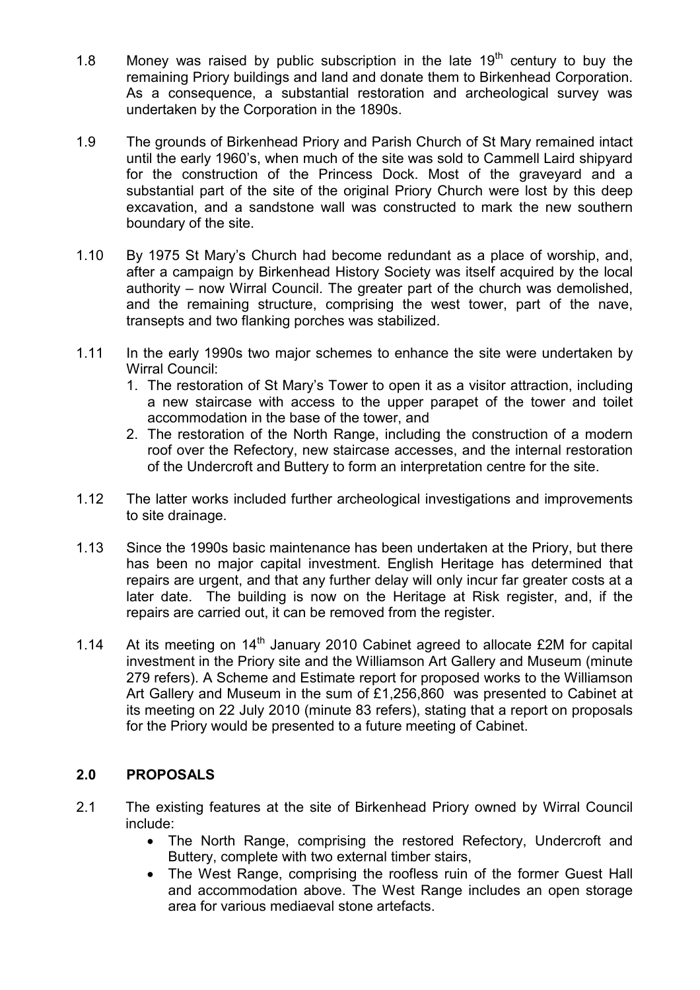- 1.8 Money was raised by public subscription in the late  $19<sup>th</sup>$  century to buy the remaining Priory buildings and land and donate them to Birkenhead Corporation. As a consequence, a substantial restoration and archeological survey was undertaken by the Corporation in the 1890s.
- 1.9 The grounds of Birkenhead Priory and Parish Church of St Mary remained intact until the early 1960's, when much of the site was sold to Cammell Laird shipyard for the construction of the Princess Dock. Most of the graveyard and a substantial part of the site of the original Priory Church were lost by this deep excavation, and a sandstone wall was constructed to mark the new southern boundary of the site.
- 1.10 By 1975 St Mary's Church had become redundant as a place of worship, and, after a campaign by Birkenhead History Society was itself acquired by the local authority – now Wirral Council. The greater part of the church was demolished, and the remaining structure, comprising the west tower, part of the nave, transepts and two flanking porches was stabilized.
- 1.11 In the early 1990s two major schemes to enhance the site were undertaken by Wirral Council:
	- 1. The restoration of St Mary's Tower to open it as a visitor attraction, including a new staircase with access to the upper parapet of the tower and toilet accommodation in the base of the tower, and
	- 2. The restoration of the North Range, including the construction of a modern roof over the Refectory, new staircase accesses, and the internal restoration of the Undercroft and Buttery to form an interpretation centre for the site.
- 1.12 The latter works included further archeological investigations and improvements to site drainage.
- 1.13 Since the 1990s basic maintenance has been undertaken at the Priory, but there has been no major capital investment. English Heritage has determined that repairs are urgent, and that any further delay will only incur far greater costs at a later date. The building is now on the Heritage at Risk register, and, if the repairs are carried out, it can be removed from the register.
- 1.14 At its meeting on  $14<sup>th</sup>$  January 2010 Cabinet agreed to allocate £2M for capital investment in the Priory site and the Williamson Art Gallery and Museum (minute 279 refers). A Scheme and Estimate report for proposed works to the Williamson Art Gallery and Museum in the sum of £1,256,860 was presented to Cabinet at its meeting on 22 July 2010 (minute 83 refers), stating that a report on proposals for the Priory would be presented to a future meeting of Cabinet.

# 2.0 PROPOSALS

- 2.1 The existing features at the site of Birkenhead Priory owned by Wirral Council include:
	- The North Range, comprising the restored Refectory, Undercroft and Buttery, complete with two external timber stairs,
	- The West Range, comprising the roofless ruin of the former Guest Hall and accommodation above. The West Range includes an open storage area for various mediaeval stone artefacts.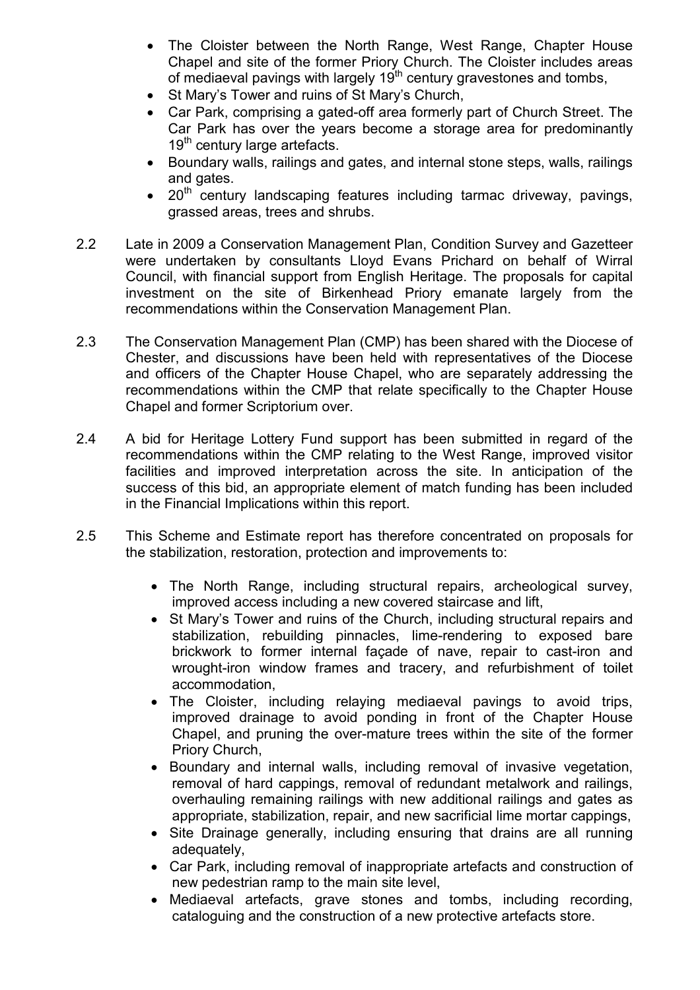- The Cloister between the North Range, West Range, Chapter House Chapel and site of the former Priory Church. The Cloister includes areas of mediaeval pavings with largely  $19<sup>th</sup>$  century gravestones and tombs,
- St Mary's Tower and ruins of St Mary's Church,
- Car Park, comprising a gated-off area formerly part of Church Street. The Car Park has over the years become a storage area for predominantly  $19<sup>tn</sup>$  century large artefacts.
- Boundary walls, railings and gates, and internal stone steps, walls, railings and gates.
- $20<sup>th</sup>$  century landscaping features including tarmac driveway, pavings, grassed areas, trees and shrubs.
- 2.2 Late in 2009 a Conservation Management Plan, Condition Survey and Gazetteer were undertaken by consultants Lloyd Evans Prichard on behalf of Wirral Council, with financial support from English Heritage. The proposals for capital investment on the site of Birkenhead Priory emanate largely from the recommendations within the Conservation Management Plan.
- 2.3 The Conservation Management Plan (CMP) has been shared with the Diocese of Chester, and discussions have been held with representatives of the Diocese and officers of the Chapter House Chapel, who are separately addressing the recommendations within the CMP that relate specifically to the Chapter House Chapel and former Scriptorium over.
- 2.4 A bid for Heritage Lottery Fund support has been submitted in regard of the recommendations within the CMP relating to the West Range, improved visitor facilities and improved interpretation across the site. In anticipation of the success of this bid, an appropriate element of match funding has been included in the Financial Implications within this report.
- 2.5 This Scheme and Estimate report has therefore concentrated on proposals for the stabilization, restoration, protection and improvements to:
	- The North Range, including structural repairs, archeological survey, improved access including a new covered staircase and lift,
	- St Mary's Tower and ruins of the Church, including structural repairs and stabilization, rebuilding pinnacles, lime-rendering to exposed bare brickwork to former internal façade of nave, repair to cast-iron and wrought-iron window frames and tracery, and refurbishment of toilet accommodation,
	- The Cloister, including relaying mediaeval pavings to avoid trips, improved drainage to avoid ponding in front of the Chapter House Chapel, and pruning the over-mature trees within the site of the former Priory Church,
	- Boundary and internal walls, including removal of invasive vegetation, removal of hard cappings, removal of redundant metalwork and railings, overhauling remaining railings with new additional railings and gates as appropriate, stabilization, repair, and new sacrificial lime mortar cappings,
	- Site Drainage generally, including ensuring that drains are all running adequately,
	- Car Park, including removal of inappropriate artefacts and construction of new pedestrian ramp to the main site level,
	- Mediaeval artefacts, grave stones and tombs, including recording, cataloguing and the construction of a new protective artefacts store.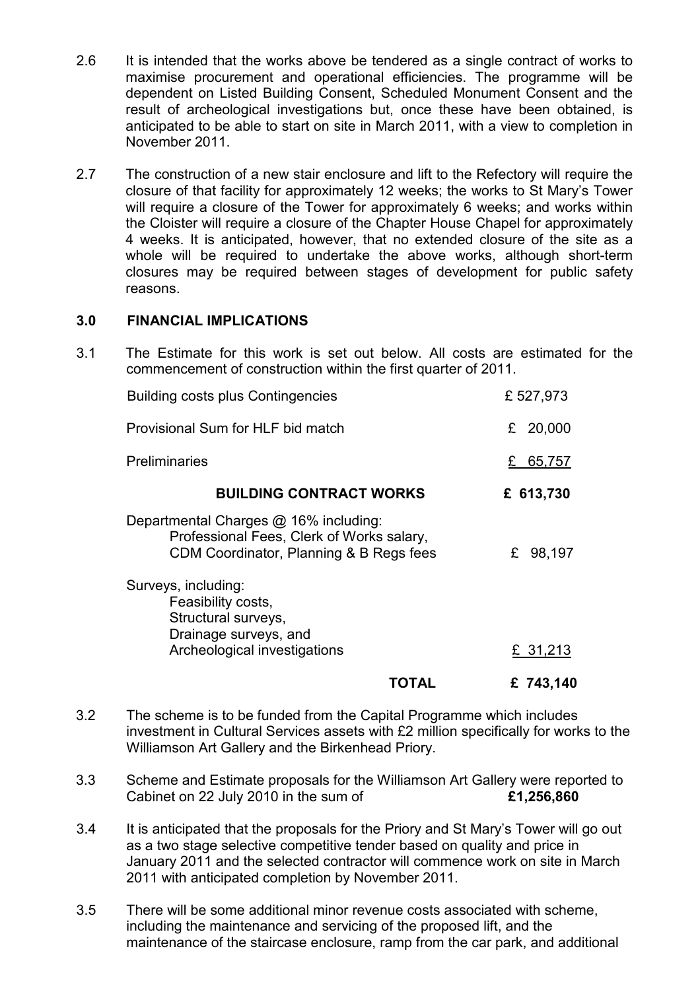- 2.6 It is intended that the works above be tendered as a single contract of works to maximise procurement and operational efficiencies. The programme will be dependent on Listed Building Consent, Scheduled Monument Consent and the result of archeological investigations but, once these have been obtained, is anticipated to be able to start on site in March 2011, with a view to completion in November 2011.
- 2.7 The construction of a new stair enclosure and lift to the Refectory will require the closure of that facility for approximately 12 weeks; the works to St Mary's Tower will require a closure of the Tower for approximately 6 weeks; and works within the Cloister will require a closure of the Chapter House Chapel for approximately 4 weeks. It is anticipated, however, that no extended closure of the site as a whole will be required to undertake the above works, although short-term closures may be required between stages of development for public safety reasons.

## 3.0 FINANCIAL IMPLICATIONS

3.1 The Estimate for this work is set out below. All costs are estimated for the commencement of construction within the first quarter of 2011.

| <b>Building costs plus Contingencies</b>                                                                                      | £527,973    |
|-------------------------------------------------------------------------------------------------------------------------------|-------------|
| Provisional Sum for HLF bid match                                                                                             | 20,000<br>£ |
| <b>Preliminaries</b>                                                                                                          | 65,757<br>£ |
| <b>BUILDING CONTRACT WORKS</b>                                                                                                | £ 613,730   |
| Departmental Charges @ 16% including:<br>Professional Fees, Clerk of Works salary,<br>CDM Coordinator, Planning & B Regs fees | 98,197<br>£ |
| Surveys, including:<br>Feasibility costs,<br>Structural surveys,<br>Drainage surveys, and<br>Archeological investigations     | £ 31,213    |
| IOIAL                                                                                                                         | £ 743,140   |

- 3.2 The scheme is to be funded from the Capital Programme which includes investment in Cultural Services assets with £2 million specifically for works to the Williamson Art Gallery and the Birkenhead Priory.
- 3.3 Scheme and Estimate proposals for the Williamson Art Gallery were reported to Cabinet on 22 July 2010 in the sum of  $£1,256,860$
- 3.4 It is anticipated that the proposals for the Priory and St Mary's Tower will go out as a two stage selective competitive tender based on quality and price in January 2011 and the selected contractor will commence work on site in March 2011 with anticipated completion by November 2011.
- 3.5 There will be some additional minor revenue costs associated with scheme, including the maintenance and servicing of the proposed lift, and the maintenance of the staircase enclosure, ramp from the car park, and additional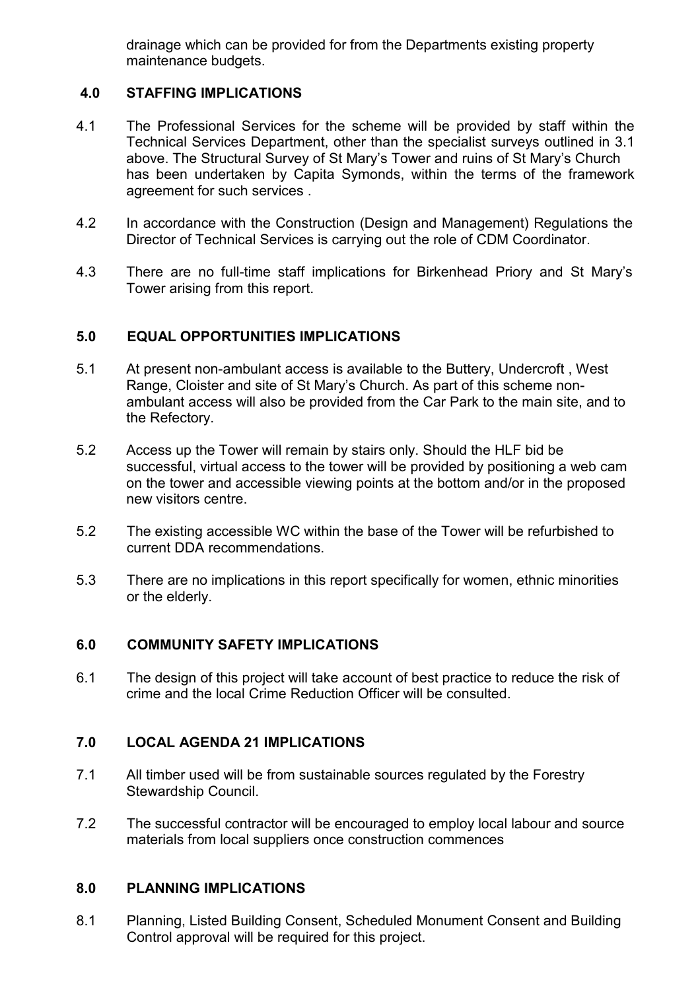drainage which can be provided for from the Departments existing property maintenance budgets.

# 4.0 STAFFING IMPLICATIONS

- 4.1 The Professional Services for the scheme will be provided by staff within the Technical Services Department, other than the specialist surveys outlined in 3.1 above. The Structural Survey of St Mary's Tower and ruins of St Mary's Church has been undertaken by Capita Symonds, within the terms of the framework agreement for such services .
- 4.2 In accordance with the Construction (Design and Management) Regulations the Director of Technical Services is carrying out the role of CDM Coordinator.
- 4.3 There are no full-time staff implications for Birkenhead Priory and St Mary's Tower arising from this report.

# 5.0 EQUAL OPPORTUNITIES IMPLICATIONS

- 5.1 At present non-ambulant access is available to the Buttery, Undercroft , West Range, Cloister and site of St Mary's Church. As part of this scheme nonambulant access will also be provided from the Car Park to the main site, and to the Refectory.
- 5.2 Access up the Tower will remain by stairs only. Should the HLF bid be successful, virtual access to the tower will be provided by positioning a web cam on the tower and accessible viewing points at the bottom and/or in the proposed new visitors centre.
- 5.2 The existing accessible WC within the base of the Tower will be refurbished to current DDA recommendations.
- 5.3 There are no implications in this report specifically for women, ethnic minorities or the elderly.

## 6.0 COMMUNITY SAFETY IMPLICATIONS

6.1 The design of this project will take account of best practice to reduce the risk of crime and the local Crime Reduction Officer will be consulted.

## 7.0 LOCAL AGENDA 21 IMPLICATIONS

- 7.1 All timber used will be from sustainable sources regulated by the Forestry Stewardship Council.
- 7.2 The successful contractor will be encouraged to employ local labour and source materials from local suppliers once construction commences

## 8.0 PLANNING IMPLICATIONS

8.1 Planning, Listed Building Consent, Scheduled Monument Consent and Building Control approval will be required for this project.